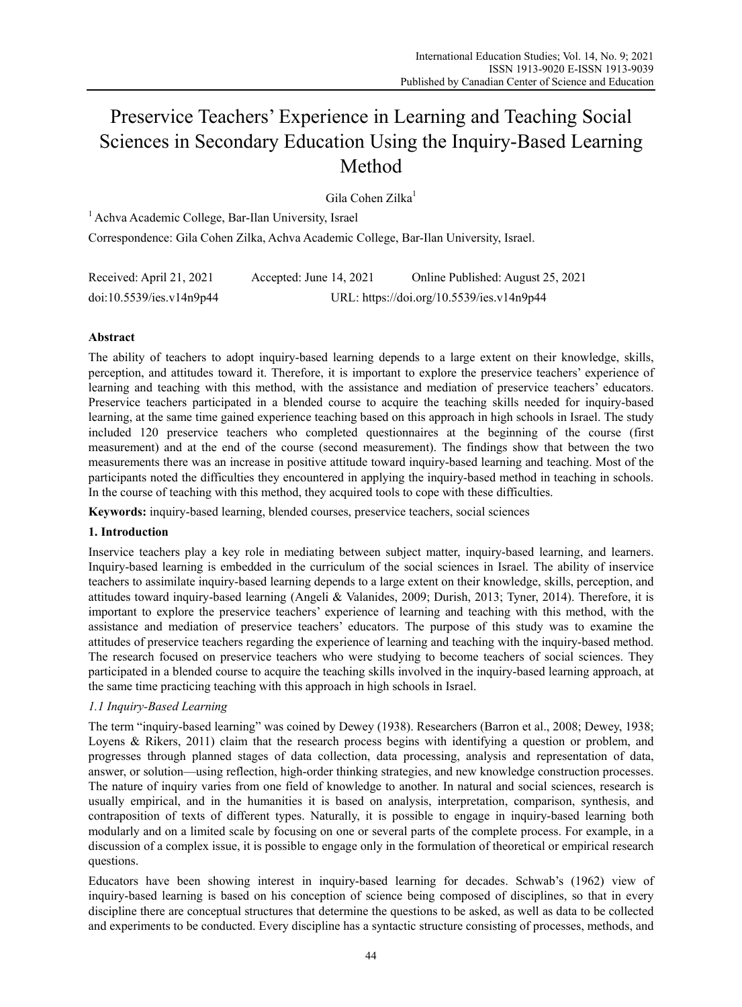# Preservice Teachers' Experience in Learning and Teaching Social Sciences in Secondary Education Using the Inquiry-Based Learning Method

Gila Cohen Zilka<sup>1</sup>

<sup>1</sup> Achva Academic College, Bar-Ilan University, Israel Correspondence: Gila Cohen Zilka, Achva Academic College, Bar-Ilan University, Israel.

| Received: April 21, 2021 | Accepted: June 14, 2021                   | Online Published: August 25, 2021 |
|--------------------------|-------------------------------------------|-----------------------------------|
| doi:10.5539/ies.v14n9p44 | URL: https://doi.org/10.5539/ies.v14n9p44 |                                   |

# **Abstract**

The ability of teachers to adopt inquiry-based learning depends to a large extent on their knowledge, skills, perception, and attitudes toward it. Therefore, it is important to explore the preservice teachers' experience of learning and teaching with this method, with the assistance and mediation of preservice teachers' educators. Preservice teachers participated in a blended course to acquire the teaching skills needed for inquiry-based learning, at the same time gained experience teaching based on this approach in high schools in Israel. The study included 120 preservice teachers who completed questionnaires at the beginning of the course (first measurement) and at the end of the course (second measurement). The findings show that between the two measurements there was an increase in positive attitude toward inquiry-based learning and teaching. Most of the participants noted the difficulties they encountered in applying the inquiry-based method in teaching in schools. In the course of teaching with this method, they acquired tools to cope with these difficulties.

**Keywords:** inquiry-based learning, blended courses, preservice teachers, social sciences

# **1. Introduction**

Inservice teachers play a key role in mediating between subject matter, inquiry-based learning, and learners. Inquiry-based learning is embedded in the curriculum of the social sciences in Israel. The ability of inservice teachers to assimilate inquiry-based learning depends to a large extent on their knowledge, skills, perception, and attitudes toward inquiry-based learning (Angeli & Valanides, 2009; Durish, 2013; Tyner, 2014). Therefore, it is important to explore the preservice teachers' experience of learning and teaching with this method, with the assistance and mediation of preservice teachers' educators. The purpose of this study was to examine the attitudes of preservice teachers regarding the experience of learning and teaching with the inquiry-based method. The research focused on preservice teachers who were studying to become teachers of social sciences. They participated in a blended course to acquire the teaching skills involved in the inquiry-based learning approach, at the same time practicing teaching with this approach in high schools in Israel.

# *1.1 Inquiry-Based Learning*

The term "inquiry-based learning" was coined by Dewey (1938). Researchers (Barron et al., 2008; Dewey, 1938; Loyens & Rikers, 2011) claim that the research process begins with identifying a question or problem, and progresses through planned stages of data collection, data processing, analysis and representation of data, answer, or solution—using reflection, high-order thinking strategies, and new knowledge construction processes. The nature of inquiry varies from one field of knowledge to another. In natural and social sciences, research is usually empirical, and in the humanities it is based on analysis, interpretation, comparison, synthesis, and contraposition of texts of different types. Naturally, it is possible to engage in inquiry-based learning both modularly and on a limited scale by focusing on one or several parts of the complete process. For example, in a discussion of a complex issue, it is possible to engage only in the formulation of theoretical or empirical research questions.

Educators have been showing interest in inquiry-based learning for decades. Schwab's (1962) view of inquiry-based learning is based on his conception of science being composed of disciplines, so that in every discipline there are conceptual structures that determine the questions to be asked, as well as data to be collected and experiments to be conducted. Every discipline has a syntactic structure consisting of processes, methods, and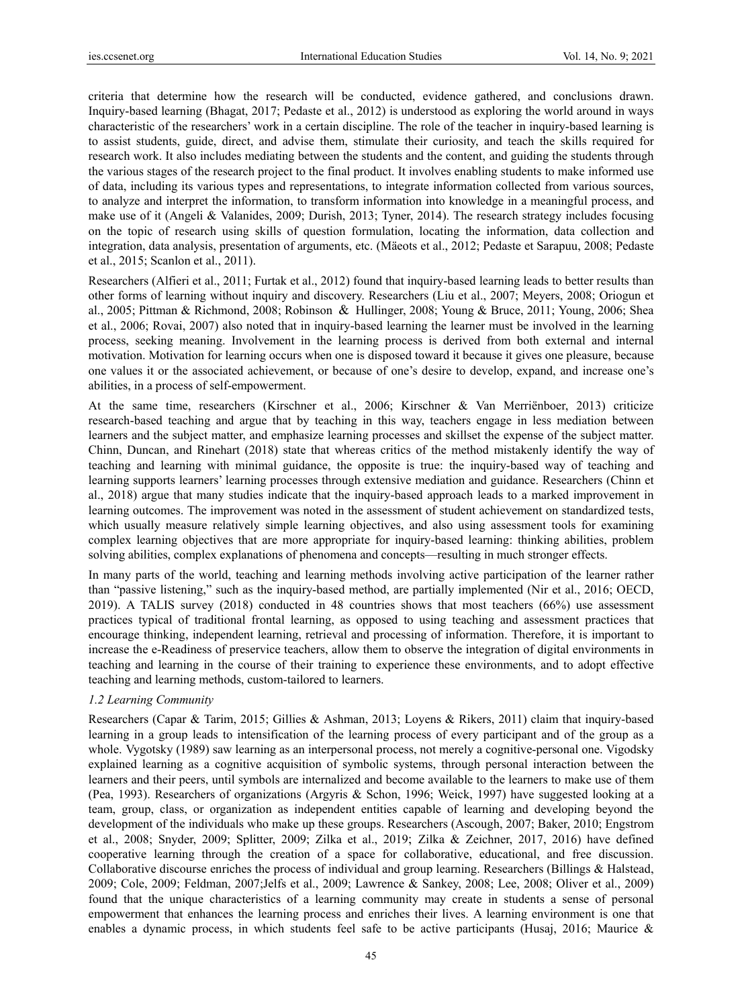criteria that determine how the research will be conducted, evidence gathered, and conclusions drawn. Inquiry-based learning (Bhagat, 2017; Pedaste et al., 2012) is understood as exploring the world around in ways characteristic of the researchers' work in a certain discipline. The role of the teacher in inquiry-based learning is to assist students, guide, direct, and advise them, stimulate their curiosity, and teach the skills required for research work. It also includes mediating between the students and the content, and guiding the students through the various stages of the research project to the final product. It involves enabling students to make informed use of data, including its various types and representations, to integrate information collected from various sources, to analyze and interpret the information, to transform information into knowledge in a meaningful process, and make use of it (Angeli & Valanides, 2009; Durish, 2013; Tyner, 2014). The research strategy includes focusing on the topic of research using skills of question formulation, locating the information, data collection and integration, data analysis, presentation of arguments, etc. (Mäeots et al., 2012; Pedaste et Sarapuu, 2008; Pedaste et al., 2015; Scanlon et al., 2011).

Researchers (Alfieri et al., 2011; Furtak et al., 2012) found that inquiry-based learning leads to better results than other forms of learning without inquiry and discovery. Researchers (Liu et al., 2007; Meyers, 2008; Oriogun et al., 2005; Pittman & Richmond, 2008; Robinson & Hullinger, 2008; Young & Bruce, 2011; Young, 2006; Shea et al., 2006; Rovai, 2007) also noted that in inquiry-based learning the learner must be involved in the learning process, seeking meaning. Involvement in the learning process is derived from both external and internal motivation. Motivation for learning occurs when one is disposed toward it because it gives one pleasure, because one values it or the associated achievement, or because of one's desire to develop, expand, and increase one's abilities, in a process of self-empowerment.

At the same time, researchers (Kirschner et al., 2006; Kirschner & Van Merriënboer, 2013) criticize research-based teaching and argue that by teaching in this way, teachers engage in less mediation between learners and the subject matter, and emphasize learning processes and skillset the expense of the subject matter. Chinn, Duncan, and Rinehart (2018) state that whereas critics of the method mistakenly identify the way of teaching and learning with minimal guidance, the opposite is true: the inquiry-based way of teaching and learning supports learners' learning processes through extensive mediation and guidance. Researchers (Chinn et al., 2018) argue that many studies indicate that the inquiry-based approach leads to a marked improvement in learning outcomes. The improvement was noted in the assessment of student achievement on standardized tests, which usually measure relatively simple learning objectives, and also using assessment tools for examining complex learning objectives that are more appropriate for inquiry-based learning: thinking abilities, problem solving abilities, complex explanations of phenomena and concepts—resulting in much stronger effects.

In many parts of the world, teaching and learning methods involving active participation of the learner rather than "passive listening," such as the inquiry-based method, are partially implemented (Nir et al., 2016; OECD, 2019). A TALIS survey (2018) conducted in 48 countries shows that most teachers (66%) use assessment practices typical of traditional frontal learning, as opposed to using teaching and assessment practices that encourage thinking, independent learning, retrieval and processing of information. Therefore, it is important to increase the e-Readiness of preservice teachers, allow them to observe the integration of digital environments in teaching and learning in the course of their training to experience these environments, and to adopt effective teaching and learning methods, custom-tailored to learners.

#### *1.2 Learning Community*

Researchers (Capar & Tarim, 2015; Gillies & Ashman, 2013; Loyens & Rikers, 2011) claim that inquiry-based learning in a group leads to intensification of the learning process of every participant and of the group as a whole. Vygotsky (1989) saw learning as an interpersonal process, not merely a cognitive-personal one. Vigodsky explained learning as a cognitive acquisition of symbolic systems, through personal interaction between the learners and their peers, until symbols are internalized and become available to the learners to make use of them (Pea, 1993). Researchers of organizations (Argyris & Schon, 1996; Weick, 1997) have suggested looking at a team, group, class, or organization as independent entities capable of learning and developing beyond the development of the individuals who make up these groups. Researchers (Ascough, 2007; Baker, 2010; Engstrom et al., 2008; Snyder, 2009; Splitter, 2009; Zilka et al., 2019; Zilka & Zeichner, 2017, 2016) have defined cooperative learning through the creation of a space for collaborative, educational, and free discussion. Collaborative discourse enriches the process of individual and group learning. Researchers (Billings & Halstead, 2009; Cole, 2009; Feldman, 2007;Jelfs et al., 2009; Lawrence & Sankey, 2008; Lee, 2008; Oliver et al., 2009) found that the unique characteristics of a learning community may create in students a sense of personal empowerment that enhances the learning process and enriches their lives. A learning environment is one that enables a dynamic process, in which students feel safe to be active participants (Husaj, 2016; Maurice &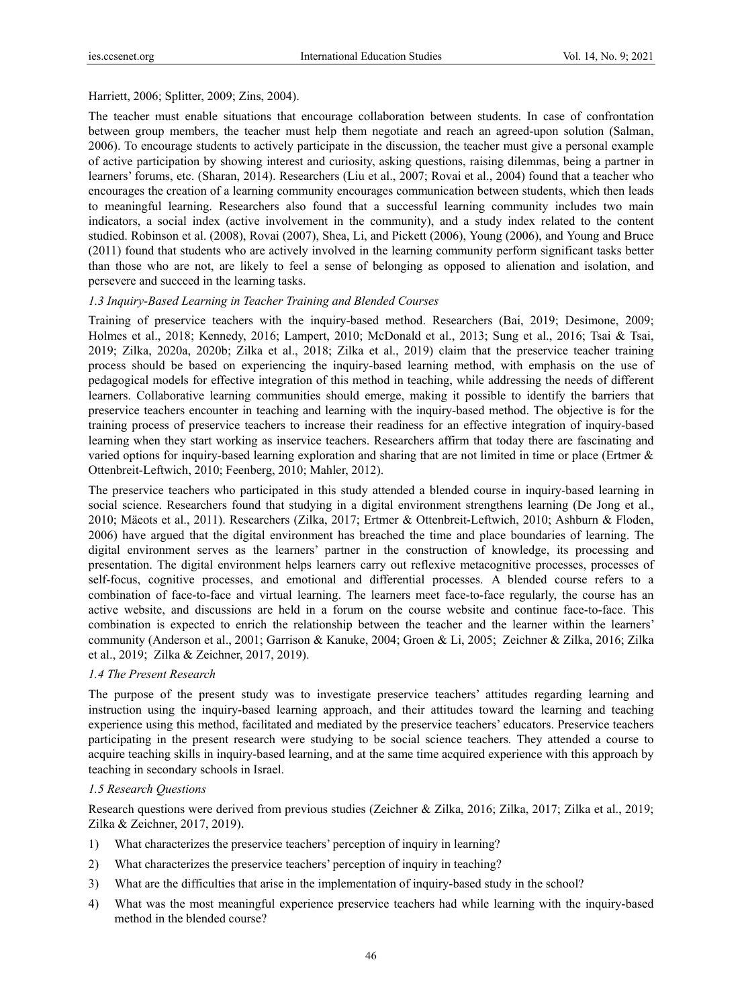Harriett, 2006; Splitter, 2009; Zins, 2004).

The teacher must enable situations that encourage collaboration between students. In case of confrontation between group members, the teacher must help them negotiate and reach an agreed-upon solution (Salman, 2006). To encourage students to actively participate in the discussion, the teacher must give a personal example of active participation by showing interest and curiosity, asking questions, raising dilemmas, being a partner in learners' forums, etc. (Sharan, 2014). Researchers (Liu et al., 2007; Rovai et al., 2004) found that a teacher who encourages the creation of a learning community encourages communication between students, which then leads to meaningful learning. Researchers also found that a successful learning community includes two main indicators, a social index (active involvement in the community), and a study index related to the content studied. Robinson et al. (2008), Rovai (2007), Shea, Li, and Pickett (2006), Young (2006), and Young and Bruce (2011) found that students who are actively involved in the learning community perform significant tasks better than those who are not, are likely to feel a sense of belonging as opposed to alienation and isolation, and persevere and succeed in the learning tasks.

## *1.3 Inquiry-Based Learning in Teacher Training and Blended Courses*

Training of preservice teachers with the inquiry-based method. Researchers (Bai, 2019; Desimone, 2009; Holmes et al., 2018; Kennedy, 2016; Lampert, 2010; McDonald et al., 2013; Sung et al., 2016; Tsai & Tsai, 2019; Zilka, 2020a, 2020b; Zilka et al., 2018; Zilka et al., 2019) claim that the preservice teacher training process should be based on experiencing the inquiry-based learning method, with emphasis on the use of pedagogical models for effective integration of this method in teaching, while addressing the needs of different learners. Collaborative learning communities should emerge, making it possible to identify the barriers that preservice teachers encounter in teaching and learning with the inquiry-based method. The objective is for the training process of preservice teachers to increase their readiness for an effective integration of inquiry-based learning when they start working as inservice teachers. Researchers affirm that today there are fascinating and varied options for inquiry-based learning exploration and sharing that are not limited in time or place (Ertmer & Ottenbreit-Leftwich, 2010; Feenberg, 2010; Mahler, 2012).

The preservice teachers who participated in this study attended a blended course in inquiry-based learning in social science. Researchers found that studying in a digital environment strengthens learning (De Jong et al., 2010; Mäeots et al., 2011). Researchers (Zilka, 2017; Ertmer & Ottenbreit-Leftwich, 2010; Ashburn & Floden, 2006) have argued that the digital environment has breached the time and place boundaries of learning. The digital environment serves as the learners' partner in the construction of knowledge, its processing and presentation. The digital environment helps learners carry out reflexive metacognitive processes, processes of self-focus, cognitive processes, and emotional and differential processes. A blended course refers to a combination of face-to-face and virtual learning. The learners meet face-to-face regularly, the course has an active website, and discussions are held in a forum on the course website and continue face-to-face. This combination is expected to enrich the relationship between the teacher and the learner within the learners' community (Anderson et al., 2001; Garrison & Kanuke, 2004; Groen & Li, 2005; Zeichner & Zilka, 2016; Zilka et al., 2019; Zilka & Zeichner, 2017, 2019).

## *1.4 The Present Research*

The purpose of the present study was to investigate preservice teachers' attitudes regarding learning and instruction using the inquiry-based learning approach, and their attitudes toward the learning and teaching experience using this method, facilitated and mediated by the preservice teachers' educators. Preservice teachers participating in the present research were studying to be social science teachers. They attended a course to acquire teaching skills in inquiry-based learning, and at the same time acquired experience with this approach by teaching in secondary schools in Israel.

# *1.5 Research Questions*

Research questions were derived from previous studies (Zeichner & Zilka, 2016; Zilka, 2017; Zilka et al., 2019; Zilka & Zeichner, 2017, 2019).

- 1) What characterizes the preservice teachers' perception of inquiry in learning?
- 2) What characterizes the preservice teachers' perception of inquiry in teaching?
- 3) What are the difficulties that arise in the implementation of inquiry-based study in the school?
- 4) What was the most meaningful experience preservice teachers had while learning with the inquiry-based method in the blended course?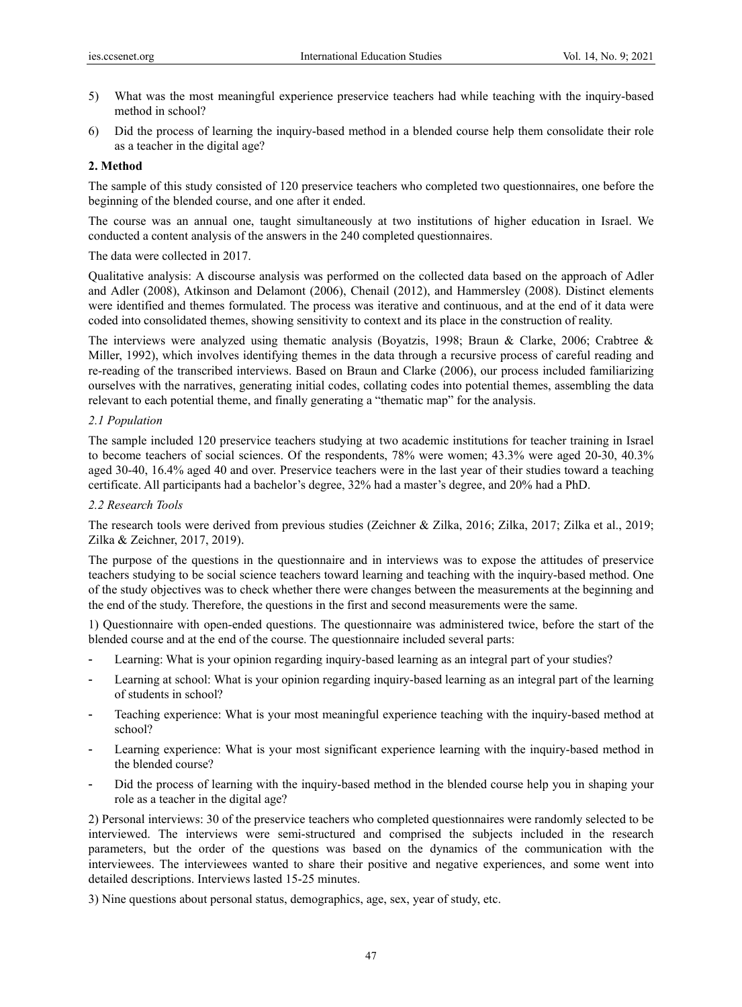- 5) What was the most meaningful experience preservice teachers had while teaching with the inquiry-based method in school?
- 6) Did the process of learning the inquiry-based method in a blended course help them consolidate their role as a teacher in the digital age?

## **2. Method**

The sample of this study consisted of 120 preservice teachers who completed two questionnaires, one before the beginning of the blended course, and one after it ended.

The course was an annual one, taught simultaneously at two institutions of higher education in Israel. We conducted a content analysis of the answers in the 240 completed questionnaires.

The data were collected in 2017.

Qualitative analysis: A discourse analysis was performed on the collected data based on the approach of Adler and Adler (2008), Atkinson and Delamont (2006), Chenail (2012), and Hammersley (2008). Distinct elements were identified and themes formulated. The process was iterative and continuous, and at the end of it data were coded into consolidated themes, showing sensitivity to context and its place in the construction of reality.

The interviews were analyzed using thematic analysis (Boyatzis, 1998; Braun & Clarke, 2006; Crabtree & Miller, 1992), which involves identifying themes in the data through a recursive process of careful reading and re-reading of the transcribed interviews. Based on Braun and Clarke (2006), our process included familiarizing ourselves with the narratives, generating initial codes, collating codes into potential themes, assembling the data relevant to each potential theme, and finally generating a "thematic map" for the analysis.

## *2.1 Population*

The sample included 120 preservice teachers studying at two academic institutions for teacher training in Israel to become teachers of social sciences. Of the respondents, 78% were women; 43.3% were aged 20-30, 40.3% aged 30-40, 16.4% aged 40 and over. Preservice teachers were in the last year of their studies toward a teaching certificate. All participants had a bachelor's degree, 32% had a master's degree, and 20% had a PhD.

### *2.2 Research Tools*

The research tools were derived from previous studies (Zeichner & Zilka, 2016; Zilka, 2017; Zilka et al., 2019; Zilka & Zeichner, 2017, 2019).

The purpose of the questions in the questionnaire and in interviews was to expose the attitudes of preservice teachers studying to be social science teachers toward learning and teaching with the inquiry-based method. One of the study objectives was to check whether there were changes between the measurements at the beginning and the end of the study. Therefore, the questions in the first and second measurements were the same.

1) Questionnaire with open-ended questions. The questionnaire was administered twice, before the start of the blended course and at the end of the course. The questionnaire included several parts:

- Learning: What is your opinion regarding inquiry-based learning as an integral part of your studies?
- Learning at school: What is your opinion regarding inquiry-based learning as an integral part of the learning of students in school?
- Teaching experience: What is your most meaningful experience teaching with the inquiry-based method at school?
- Learning experience: What is your most significant experience learning with the inquiry-based method in the blended course?
- Did the process of learning with the inquiry-based method in the blended course help you in shaping your role as a teacher in the digital age?

2) Personal interviews: 30 of the preservice teachers who completed questionnaires were randomly selected to be interviewed. The interviews were semi-structured and comprised the subjects included in the research parameters, but the order of the questions was based on the dynamics of the communication with the interviewees. The interviewees wanted to share their positive and negative experiences, and some went into detailed descriptions. Interviews lasted 15-25 minutes.

3) Nine questions about personal status, demographics, age, sex, year of study, etc.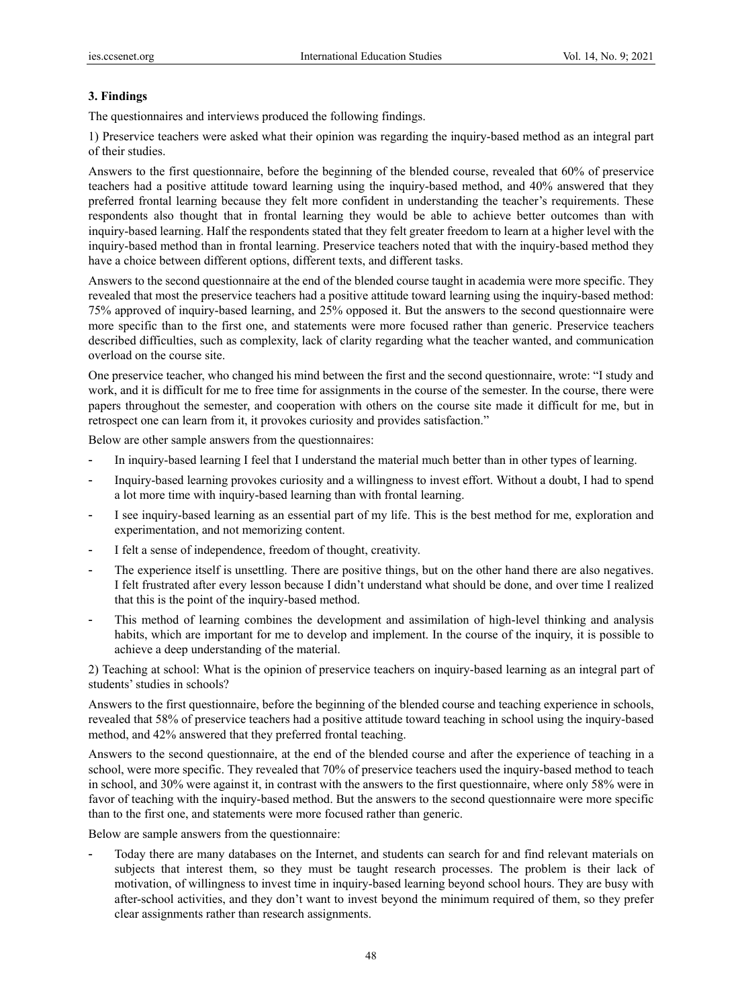## **3. Findings**

The questionnaires and interviews produced the following findings.

1) Preservice teachers were asked what their opinion was regarding the inquiry-based method as an integral part of their studies.

Answers to the first questionnaire, before the beginning of the blended course, revealed that 60% of preservice teachers had a positive attitude toward learning using the inquiry-based method, and 40% answered that they preferred frontal learning because they felt more confident in understanding the teacher's requirements. These respondents also thought that in frontal learning they would be able to achieve better outcomes than with inquiry-based learning. Half the respondents stated that they felt greater freedom to learn at a higher level with the inquiry-based method than in frontal learning. Preservice teachers noted that with the inquiry-based method they have a choice between different options, different texts, and different tasks.

Answers to the second questionnaire at the end of the blended course taught in academia were more specific. They revealed that most the preservice teachers had a positive attitude toward learning using the inquiry-based method: 75% approved of inquiry-based learning, and 25% opposed it. But the answers to the second questionnaire were more specific than to the first one, and statements were more focused rather than generic. Preservice teachers described difficulties, such as complexity, lack of clarity regarding what the teacher wanted, and communication overload on the course site.

One preservice teacher, who changed his mind between the first and the second questionnaire, wrote: "I study and work, and it is difficult for me to free time for assignments in the course of the semester. In the course, there were papers throughout the semester, and cooperation with others on the course site made it difficult for me, but in retrospect one can learn from it, it provokes curiosity and provides satisfaction."

Below are other sample answers from the questionnaires:

- In inquiry-based learning I feel that I understand the material much better than in other types of learning.
- Inquiry-based learning provokes curiosity and a willingness to invest effort. Without a doubt, I had to spend a lot more time with inquiry-based learning than with frontal learning.
- I see inquiry-based learning as an essential part of my life. This is the best method for me, exploration and experimentation, and not memorizing content.
- I felt a sense of independence, freedom of thought, creativity.
- The experience itself is unsettling. There are positive things, but on the other hand there are also negatives. I felt frustrated after every lesson because I didn't understand what should be done, and over time I realized that this is the point of the inquiry-based method.
- This method of learning combines the development and assimilation of high-level thinking and analysis habits, which are important for me to develop and implement. In the course of the inquiry, it is possible to achieve a deep understanding of the material.

2) Teaching at school: What is the opinion of preservice teachers on inquiry-based learning as an integral part of students' studies in schools?

Answers to the first questionnaire, before the beginning of the blended course and teaching experience in schools, revealed that 58% of preservice teachers had a positive attitude toward teaching in school using the inquiry-based method, and 42% answered that they preferred frontal teaching.

Answers to the second questionnaire, at the end of the blended course and after the experience of teaching in a school, were more specific. They revealed that 70% of preservice teachers used the inquiry-based method to teach in school, and 30% were against it, in contrast with the answers to the first questionnaire, where only 58% were in favor of teaching with the inquiry-based method. But the answers to the second questionnaire were more specific than to the first one, and statements were more focused rather than generic.

Below are sample answers from the questionnaire:

- Today there are many databases on the Internet, and students can search for and find relevant materials on subjects that interest them, so they must be taught research processes. The problem is their lack of motivation, of willingness to invest time in inquiry-based learning beyond school hours. They are busy with after-school activities, and they don't want to invest beyond the minimum required of them, so they prefer clear assignments rather than research assignments.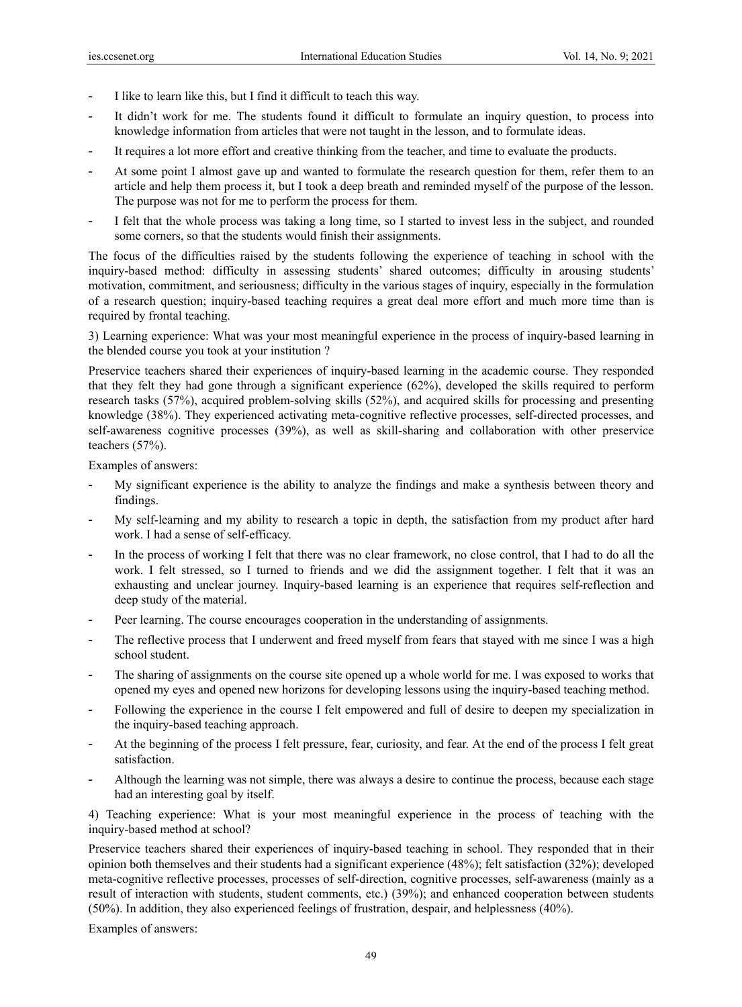- I like to learn like this, but I find it difficult to teach this way.
- It didn't work for me. The students found it difficult to formulate an inquiry question, to process into knowledge information from articles that were not taught in the lesson, and to formulate ideas.
- It requires a lot more effort and creative thinking from the teacher, and time to evaluate the products.
- At some point I almost gave up and wanted to formulate the research question for them, refer them to an article and help them process it, but I took a deep breath and reminded myself of the purpose of the lesson. The purpose was not for me to perform the process for them.
- I felt that the whole process was taking a long time, so I started to invest less in the subject, and rounded some corners, so that the students would finish their assignments.

The focus of the difficulties raised by the students following the experience of teaching in school with the inquiry-based method: difficulty in assessing students' shared outcomes; difficulty in arousing students' motivation, commitment, and seriousness; difficulty in the various stages of inquiry, especially in the formulation of a research question; inquiry-based teaching requires a great deal more effort and much more time than is required by frontal teaching.

3) Learning experience: What was your most meaningful experience in the process of inquiry-based learning in the blended course you took at your institution ?

Preservice teachers shared their experiences of inquiry-based learning in the academic course. They responded that they felt they had gone through a significant experience (62%), developed the skills required to perform research tasks (57%), acquired problem-solving skills (52%), and acquired skills for processing and presenting knowledge (38%). They experienced activating meta-cognitive reflective processes, self-directed processes, and self-awareness cognitive processes (39%), as well as skill-sharing and collaboration with other preservice teachers (57%).

Examples of answers:

- My significant experience is the ability to analyze the findings and make a synthesis between theory and findings.
- My self-learning and my ability to research a topic in depth, the satisfaction from my product after hard work. I had a sense of self-efficacy.
- In the process of working I felt that there was no clear framework, no close control, that I had to do all the work. I felt stressed, so I turned to friends and we did the assignment together. I felt that it was an exhausting and unclear journey. Inquiry-based learning is an experience that requires self-reflection and deep study of the material.
- Peer learning. The course encourages cooperation in the understanding of assignments.
- The reflective process that I underwent and freed myself from fears that stayed with me since I was a high school student.
- The sharing of assignments on the course site opened up a whole world for me. I was exposed to works that opened my eyes and opened new horizons for developing lessons using the inquiry-based teaching method.
- Following the experience in the course I felt empowered and full of desire to deepen my specialization in the inquiry-based teaching approach.
- At the beginning of the process I felt pressure, fear, curiosity, and fear. At the end of the process I felt great satisfaction.
- Although the learning was not simple, there was always a desire to continue the process, because each stage had an interesting goal by itself.

4) Teaching experience: What is your most meaningful experience in the process of teaching with the inquiry-based method at school?

Preservice teachers shared their experiences of inquiry-based teaching in school. They responded that in their opinion both themselves and their students had a significant experience (48%); felt satisfaction (32%); developed meta-cognitive reflective processes, processes of self-direction, cognitive processes, self-awareness (mainly as a result of interaction with students, student comments, etc.) (39%); and enhanced cooperation between students (50%). In addition, they also experienced feelings of frustration, despair, and helplessness (40%).

Examples of answers: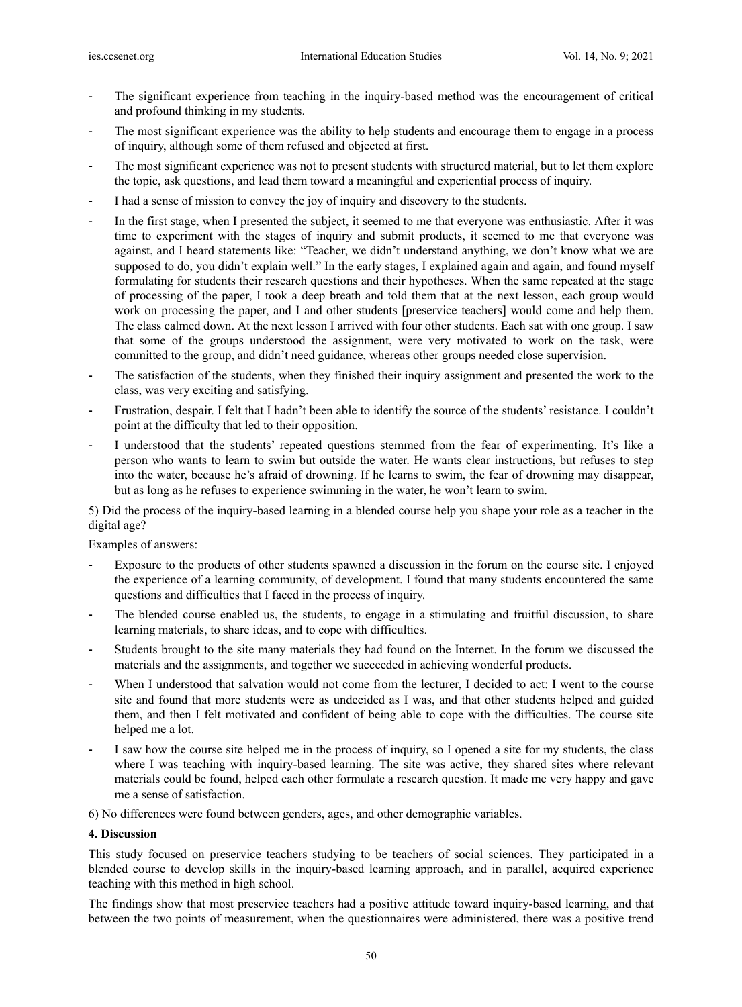- The significant experience from teaching in the inquiry-based method was the encouragement of critical and profound thinking in my students.
- The most significant experience was the ability to help students and encourage them to engage in a process of inquiry, although some of them refused and objected at first.
- The most significant experience was not to present students with structured material, but to let them explore the topic, ask questions, and lead them toward a meaningful and experiential process of inquiry.
- I had a sense of mission to convey the joy of inquiry and discovery to the students.
- In the first stage, when I presented the subject, it seemed to me that everyone was enthusiastic. After it was time to experiment with the stages of inquiry and submit products, it seemed to me that everyone was against, and I heard statements like: "Teacher, we didn't understand anything, we don't know what we are supposed to do, you didn't explain well." In the early stages, I explained again and again, and found myself formulating for students their research questions and their hypotheses. When the same repeated at the stage of processing of the paper, I took a deep breath and told them that at the next lesson, each group would work on processing the paper, and I and other students [preservice teachers] would come and help them. The class calmed down. At the next lesson I arrived with four other students. Each sat with one group. I saw that some of the groups understood the assignment, were very motivated to work on the task, were committed to the group, and didn't need guidance, whereas other groups needed close supervision.
- The satisfaction of the students, when they finished their inquiry assignment and presented the work to the class, was very exciting and satisfying.
- Frustration, despair. I felt that I hadn't been able to identify the source of the students' resistance. I couldn't point at the difficulty that led to their opposition.
- I understood that the students' repeated questions stemmed from the fear of experimenting. It's like a person who wants to learn to swim but outside the water. He wants clear instructions, but refuses to step into the water, because he's afraid of drowning. If he learns to swim, the fear of drowning may disappear, but as long as he refuses to experience swimming in the water, he won't learn to swim.

5) Did the process of the inquiry-based learning in a blended course help you shape your role as a teacher in the digital age?

Examples of answers:

- Exposure to the products of other students spawned a discussion in the forum on the course site. I enjoyed the experience of a learning community, of development. I found that many students encountered the same questions and difficulties that I faced in the process of inquiry.
- The blended course enabled us, the students, to engage in a stimulating and fruitful discussion, to share learning materials, to share ideas, and to cope with difficulties.
- Students brought to the site many materials they had found on the Internet. In the forum we discussed the materials and the assignments, and together we succeeded in achieving wonderful products.
- When I understood that salvation would not come from the lecturer, I decided to act: I went to the course site and found that more students were as undecided as I was, and that other students helped and guided them, and then I felt motivated and confident of being able to cope with the difficulties. The course site helped me a lot.
- I saw how the course site helped me in the process of inquiry, so I opened a site for my students, the class where I was teaching with inquiry-based learning. The site was active, they shared sites where relevant materials could be found, helped each other formulate a research question. It made me very happy and gave me a sense of satisfaction.

6) No differences were found between genders, ages, and other demographic variables.

#### **4. Discussion**

This study focused on preservice teachers studying to be teachers of social sciences. They participated in a blended course to develop skills in the inquiry-based learning approach, and in parallel, acquired experience teaching with this method in high school.

The findings show that most preservice teachers had a positive attitude toward inquiry-based learning, and that between the two points of measurement, when the questionnaires were administered, there was a positive trend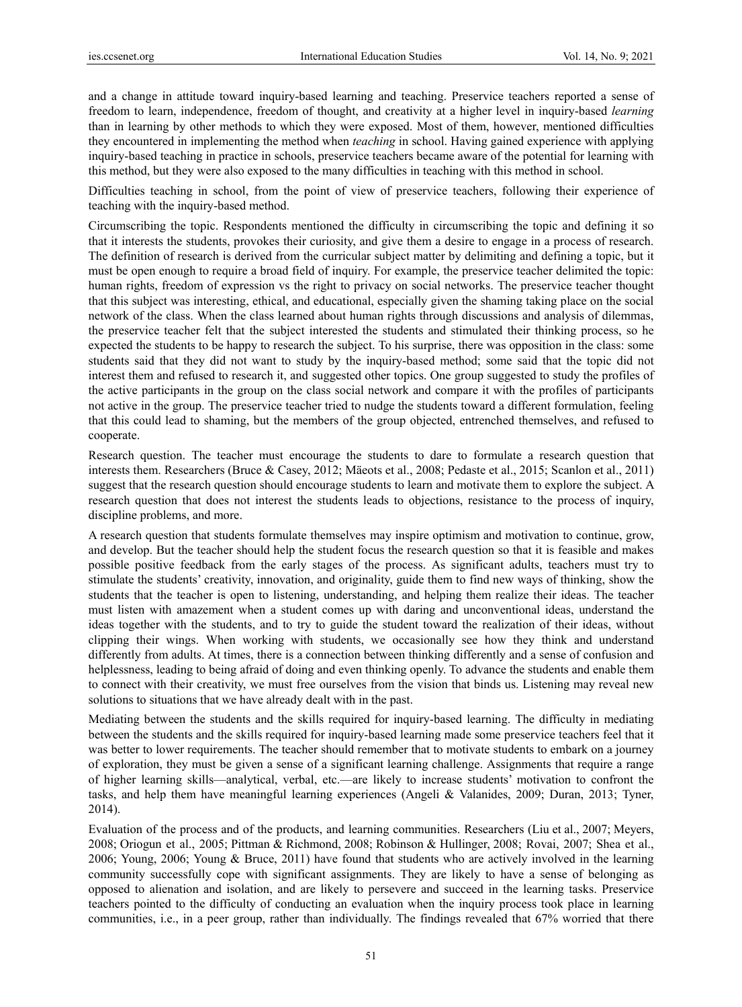and a change in attitude toward inquiry-based learning and teaching. Preservice teachers reported a sense of freedom to learn, independence, freedom of thought, and creativity at a higher level in inquiry-based *learning* than in learning by other methods to which they were exposed. Most of them, however, mentioned difficulties they encountered in implementing the method when *teaching* in school. Having gained experience with applying inquiry-based teaching in practice in schools, preservice teachers became aware of the potential for learning with this method, but they were also exposed to the many difficulties in teaching with this method in school.

Difficulties teaching in school, from the point of view of preservice teachers, following their experience of teaching with the inquiry-based method.

Circumscribing the topic. Respondents mentioned the difficulty in circumscribing the topic and defining it so that it interests the students, provokes their curiosity, and give them a desire to engage in a process of research. The definition of research is derived from the curricular subject matter by delimiting and defining a topic, but it must be open enough to require a broad field of inquiry. For example, the preservice teacher delimited the topic: human rights, freedom of expression vs the right to privacy on social networks. The preservice teacher thought that this subject was interesting, ethical, and educational, especially given the shaming taking place on the social network of the class. When the class learned about human rights through discussions and analysis of dilemmas, the preservice teacher felt that the subject interested the students and stimulated their thinking process, so he expected the students to be happy to research the subject. To his surprise, there was opposition in the class: some students said that they did not want to study by the inquiry-based method; some said that the topic did not interest them and refused to research it, and suggested other topics. One group suggested to study the profiles of the active participants in the group on the class social network and compare it with the profiles of participants not active in the group. The preservice teacher tried to nudge the students toward a different formulation, feeling that this could lead to shaming, but the members of the group objected, entrenched themselves, and refused to cooperate.

Research question. The teacher must encourage the students to dare to formulate a research question that interests them. Researchers (Bruce & Casey, 2012; Mäeots et al., 2008; Pedaste et al., 2015; Scanlon et al., 2011) suggest that the research question should encourage students to learn and motivate them to explore the subject. A research question that does not interest the students leads to objections, resistance to the process of inquiry, discipline problems, and more.

A research question that students formulate themselves may inspire optimism and motivation to continue, grow, and develop. But the teacher should help the student focus the research question so that it is feasible and makes possible positive feedback from the early stages of the process. As significant adults, teachers must try to stimulate the students' creativity, innovation, and originality, guide them to find new ways of thinking, show the students that the teacher is open to listening, understanding, and helping them realize their ideas. The teacher must listen with amazement when a student comes up with daring and unconventional ideas, understand the ideas together with the students, and to try to guide the student toward the realization of their ideas, without clipping their wings. When working with students, we occasionally see how they think and understand differently from adults. At times, there is a connection between thinking differently and a sense of confusion and helplessness, leading to being afraid of doing and even thinking openly. To advance the students and enable them to connect with their creativity, we must free ourselves from the vision that binds us. Listening may reveal new solutions to situations that we have already dealt with in the past.

Mediating between the students and the skills required for inquiry-based learning. The difficulty in mediating between the students and the skills required for inquiry-based learning made some preservice teachers feel that it was better to lower requirements. The teacher should remember that to motivate students to embark on a journey of exploration, they must be given a sense of a significant learning challenge. Assignments that require a range of higher learning skills—analytical, verbal, etc.—are likely to increase students' motivation to confront the tasks, and help them have meaningful learning experiences (Angeli & Valanides, 2009; Duran, 2013; Tyner, 2014).

Evaluation of the process and of the products, and learning communities. Researchers (Liu et al., 2007; Meyers, 2008; Oriogun et al., 2005; Pittman & Richmond, 2008; Robinson & Hullinger, 2008; Rovai, 2007; Shea et al., 2006; Young, 2006; Young & Bruce, 2011) have found that students who are actively involved in the learning community successfully cope with significant assignments. They are likely to have a sense of belonging as opposed to alienation and isolation, and are likely to persevere and succeed in the learning tasks. Preservice teachers pointed to the difficulty of conducting an evaluation when the inquiry process took place in learning communities, i.e., in a peer group, rather than individually. The findings revealed that 67% worried that there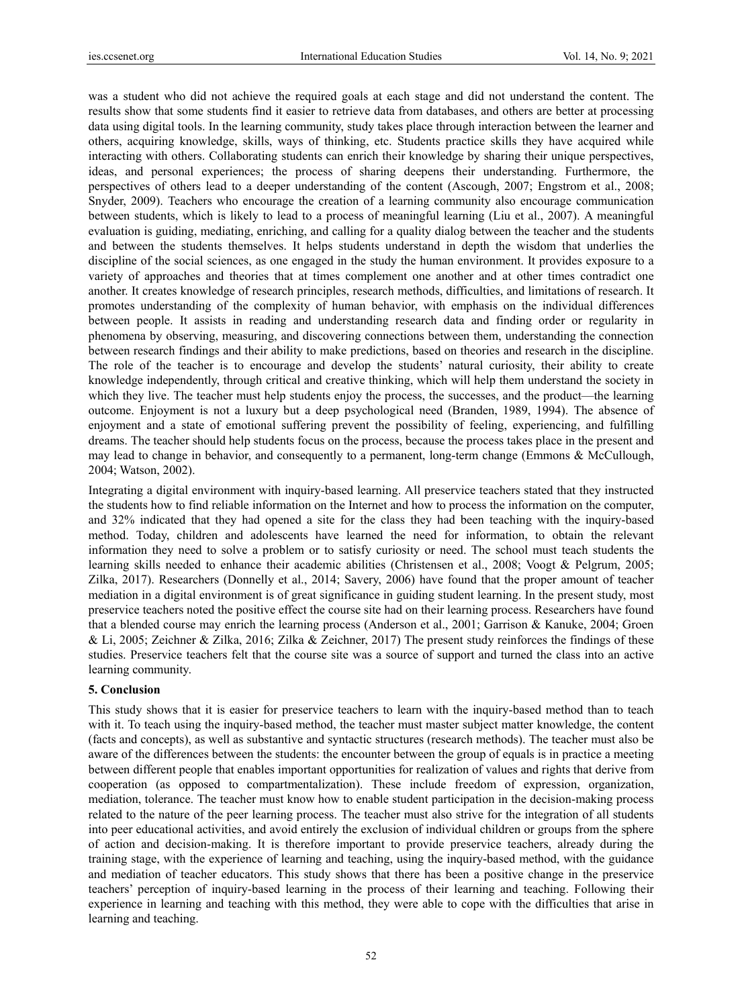was a student who did not achieve the required goals at each stage and did not understand the content. The results show that some students find it easier to retrieve data from databases, and others are better at processing data using digital tools. In the learning community, study takes place through interaction between the learner and others, acquiring knowledge, skills, ways of thinking, etc. Students practice skills they have acquired while interacting with others. Collaborating students can enrich their knowledge by sharing their unique perspectives, ideas, and personal experiences; the process of sharing deepens their understanding. Furthermore, the perspectives of others lead to a deeper understanding of the content (Ascough, 2007; Engstrom et al., 2008; Snyder, 2009). Teachers who encourage the creation of a learning community also encourage communication between students, which is likely to lead to a process of meaningful learning (Liu et al., 2007). A meaningful evaluation is guiding, mediating, enriching, and calling for a quality dialog between the teacher and the students and between the students themselves. It helps students understand in depth the wisdom that underlies the discipline of the social sciences, as one engaged in the study the human environment. It provides exposure to a variety of approaches and theories that at times complement one another and at other times contradict one another. It creates knowledge of research principles, research methods, difficulties, and limitations of research. It promotes understanding of the complexity of human behavior, with emphasis on the individual differences between people. It assists in reading and understanding research data and finding order or regularity in phenomena by observing, measuring, and discovering connections between them, understanding the connection between research findings and their ability to make predictions, based on theories and research in the discipline. The role of the teacher is to encourage and develop the students' natural curiosity, their ability to create knowledge independently, through critical and creative thinking, which will help them understand the society in which they live. The teacher must help students enjoy the process, the successes, and the product—the learning outcome. Enjoyment is not a luxury but a deep psychological need (Branden, 1989, 1994). The absence of enjoyment and a state of emotional suffering prevent the possibility of feeling, experiencing, and fulfilling dreams. The teacher should help students focus on the process, because the process takes place in the present and may lead to change in behavior, and consequently to a permanent, long-term change (Emmons & McCullough, 2004; Watson, 2002).

Integrating a digital environment with inquiry-based learning. All preservice teachers stated that they instructed the students how to find reliable information on the Internet and how to process the information on the computer, and 32% indicated that they had opened a site for the class they had been teaching with the inquiry-based method. Today, children and adolescents have learned the need for information, to obtain the relevant information they need to solve a problem or to satisfy curiosity or need. The school must teach students the learning skills needed to enhance their academic abilities (Christensen et al., 2008; Voogt & Pelgrum, 2005; Zilka, 2017). Researchers (Donnelly et al., 2014; Savery, 2006) have found that the proper amount of teacher mediation in a digital environment is of great significance in guiding student learning. In the present study, most preservice teachers noted the positive effect the course site had on their learning process. Researchers have found that a blended course may enrich the learning process (Anderson et al., 2001; Garrison & Kanuke, 2004; Groen & Li, 2005; Zeichner & Zilka, 2016; Zilka & Zeichner, 2017) The present study reinforces the findings of these studies. Preservice teachers felt that the course site was a source of support and turned the class into an active learning community.

#### **5. Conclusion**

This study shows that it is easier for preservice teachers to learn with the inquiry-based method than to teach with it. To teach using the inquiry-based method, the teacher must master subject matter knowledge, the content (facts and concepts), as well as substantive and syntactic structures (research methods). The teacher must also be aware of the differences between the students: the encounter between the group of equals is in practice a meeting between different people that enables important opportunities for realization of values and rights that derive from cooperation (as opposed to compartmentalization). These include freedom of expression, organization, mediation, tolerance. The teacher must know how to enable student participation in the decision-making process related to the nature of the peer learning process. The teacher must also strive for the integration of all students into peer educational activities, and avoid entirely the exclusion of individual children or groups from the sphere of action and decision-making. It is therefore important to provide preservice teachers, already during the training stage, with the experience of learning and teaching, using the inquiry-based method, with the guidance and mediation of teacher educators. This study shows that there has been a positive change in the preservice teachers' perception of inquiry-based learning in the process of their learning and teaching. Following their experience in learning and teaching with this method, they were able to cope with the difficulties that arise in learning and teaching.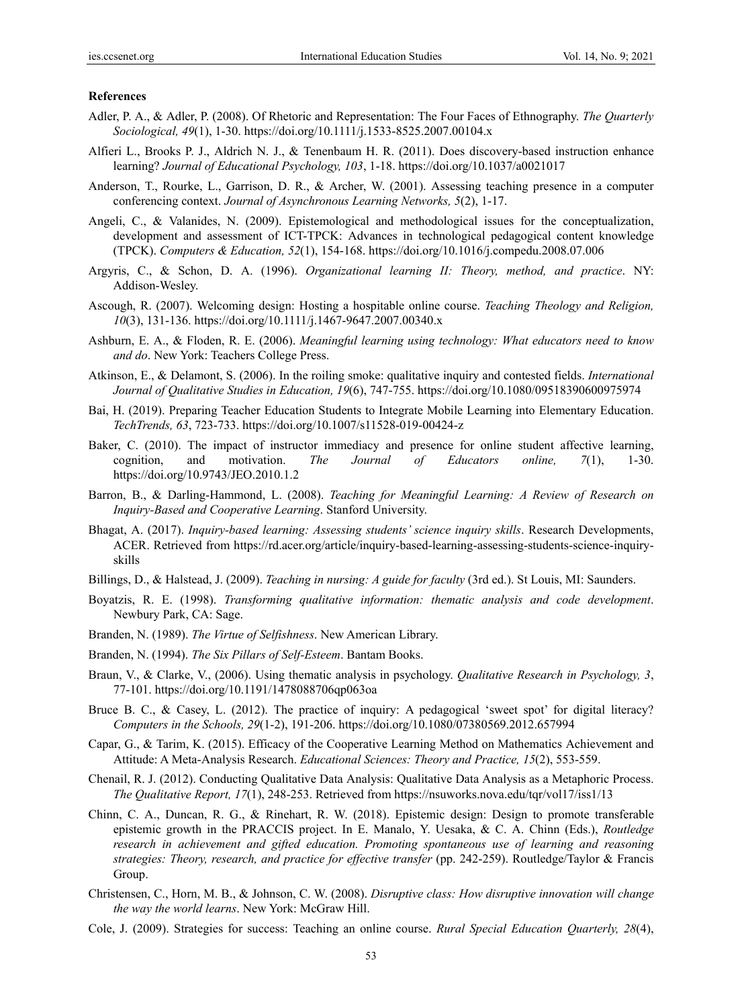#### **References**

- Adler, P. A., & Adler, P. (2008). Of Rhetoric and Representation: The Four Faces of Ethnography. *The Quarterly Sociological, 49*(1), 1-30. https://doi.org/10.1111/j.1533-8525.2007.00104.x
- Alfieri L., Brooks P. J., Aldrich N. J., & Tenenbaum H. R. (2011). Does discovery-based instruction enhance learning? *Journal of Educational Psychology, 103*, 1-18. https://doi.org/10.1037/a0021017
- Anderson, T., Rourke, L., Garrison, D. R., & Archer, W. (2001). Assessing teaching presence in a computer conferencing context. *Journal of Asynchronous Learning Networks, 5*(2), 1-17.
- Angeli, C., & Valanides, N. (2009). Epistemological and methodological issues for the conceptualization, development and assessment of ICT-TPCK: Advances in technological pedagogical content knowledge (TPCK). *Computers & Education, 52*(1), 154-168. https://doi.org/10.1016/j.compedu.2008.07.006
- Argyris, C., & Schon, D. A. (1996). *Organizational learning II: Theory, method, and practice*. NY: Addison-Wesley.
- Ascough, R. (2007). Welcoming design: Hosting a hospitable online course. *Teaching Theology and Religion, 10*(3), 131-136. https://doi.org/10.1111/j.1467-9647.2007.00340.x
- Ashburn, E. A., & Floden, R. E. (2006). *Meaningful learning using technology: What educators need to know and do*. New York: Teachers College Press.
- Atkinson, E., & Delamont, S. (2006). In the roiling smoke: qualitative inquiry and contested fields. *International Journal of Qualitative Studies in Education, 19*(6), 747-755. https://doi.org/10.1080/09518390600975974
- Bai, H. (2019). Preparing Teacher Education Students to Integrate Mobile Learning into Elementary Education. *TechTrends, 63*, 723-733. https://doi.org/10.1007/s11528-019-00424-z
- Baker, C. (2010). The impact of instructor immediacy and presence for online student affective learning, cognition, and motivation. *The Journal of Educators online, 7*(1), 1-30. https://doi.org/10.9743/JEO.2010.1.2
- Barron, B., & Darling-Hammond, L. (2008). *Teaching for Meaningful Learning: A Review of Research on Inquiry-Based and Cooperative Learning*. Stanford University.
- Bhagat, A. (2017). *Inquiry-based learning: Assessing students' science inquiry skills*. Research Developments, ACER. Retrieved from https://rd.acer.org/article/inquiry-based-learning-assessing-students-science-inquiryskills
- Billings, D., & Halstead, J. (2009). *Teaching in nursing: A guide for faculty* (3rd ed.). St Louis, MI: Saunders.
- Boyatzis, R. E. (1998). *Transforming qualitative information: thematic analysis and code development*. Newbury Park, CA: Sage.
- Branden, N. (1989). *The Virtue of Selfishness*. New American Library.
- Branden, N. (1994). *The Six Pillars of Self-Esteem*. Bantam Books.
- Braun, V., & Clarke, V., (2006). Using thematic analysis in psychology. *Qualitative Research in Psychology, 3*, 77-101. https://doi.org/10.1191/1478088706qp063oa
- Bruce B. C., & Casey, L. (2012). The practice of inquiry: A pedagogical 'sweet spot' for digital literacy? *Computers in the Schools, 29*(1-2), 191-206. https://doi.org/10.1080/07380569.2012.657994
- Capar, G., & Tarim, K. (2015). Efficacy of the Cooperative Learning Method on Mathematics Achievement and Attitude: A Meta-Analysis Research. *Educational Sciences: Theory and Practice, 15*(2), 553-559.
- Chenail, R. J. (2012). Conducting Qualitative Data Analysis: Qualitative Data Analysis as a Metaphoric Process. *The Qualitative Report, 17*(1), 248-253. Retrieved from https://nsuworks.nova.edu/tqr/vol17/iss1/13
- Chinn, C. A., Duncan, R. G., & Rinehart, R. W. (2018). Epistemic design: Design to promote transferable epistemic growth in the PRACCIS project. In E. Manalo, Y. Uesaka, & C. A. Chinn (Eds.), *Routledge research in achievement and gifted education. Promoting spontaneous use of learning and reasoning strategies: Theory, research, and practice for effective transfer* (pp. 242-259). Routledge/Taylor & Francis Group.
- Christensen, C., Horn, M. B., & Johnson, C. W. (2008). *Disruptive class: How disruptive innovation will change the way the world learns*. New York: McGraw Hill.
- Cole, J. (2009). Strategies for success: Teaching an online course. *Rural Special Education Quarterly, 28*(4),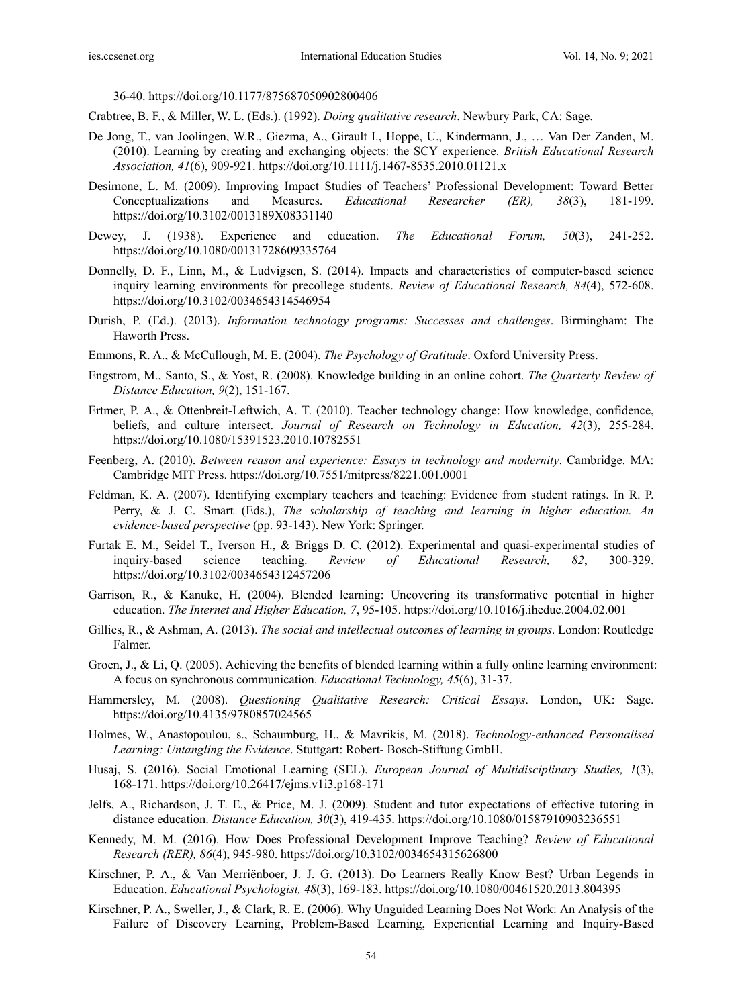36-40. https://doi.org/10.1177/875687050902800406

- Crabtree, B. F., & Miller, W. L. (Eds.). (1992). *Doing qualitative research*. Newbury Park, CA: Sage.
- De Jong, T., van Joolingen, W.R., Giezma, A., Girault I., Hoppe, U., Kindermann, J., … Van Der Zanden, M. (2010). Learning by creating and exchanging objects: the SCY experience. *British Educational Research Association, 41*(6), 909-921. https://doi.org/10.1111/j.1467-8535.2010.01121.x
- Desimone, L. M. (2009). Improving Impact Studies of Teachers' Professional Development: Toward Better Conceptualizations and Measures. *Educational Researcher (ER), 38*(3), 181-199. https://doi.org/10.3102/0013189X08331140
- Dewey, J. (1938). Experience and education. *The Educational Forum, 50*(3), 241-252. https://doi.org/10.1080/00131728609335764
- Donnelly, D. F., Linn, M., & Ludvigsen, S. (2014). Impacts and characteristics of computer-based science inquiry learning environments for precollege students. *Review of Educational Research, 84*(4), 572-608. https://doi.org/10.3102/0034654314546954
- Durish, P. (Ed.). (2013). *Information technology programs: Successes and challenges*. Birmingham: The Haworth Press.
- Emmons, R. A., & McCullough, M. E. (2004). *The Psychology of Gratitude*. Oxford University Press.
- Engstrom, M., Santo, S., & Yost, R. (2008). Knowledge building in an online cohort. *The Quarterly Review of Distance Education, 9*(2), 151-167.
- Ertmer, P. A., & Ottenbreit-Leftwich, A. T. (2010). Teacher technology change: How knowledge, confidence, beliefs, and culture intersect. *Journal of Research on Technology in Education, 42*(3), 255-284. https://doi.org/10.1080/15391523.2010.10782551
- Feenberg, A. (2010). *Between reason and experience: Essays in technology and modernity*. Cambridge. MA: Cambridge MIT Press. https://doi.org/10.7551/mitpress/8221.001.0001
- Feldman, K. A. (2007). Identifying exemplary teachers and teaching: Evidence from student ratings. In R. P. Perry, & J. C. Smart (Eds.), *The scholarship of teaching and learning in higher education. An evidence-based perspective* (pp. 93-143). New York: Springer.
- Furtak E. M., Seidel T., Iverson H., & Briggs D. C. (2012). Experimental and quasi-experimental studies of inquiry-based science teaching. *Review of Educational Research, 82*, 300-329. https://doi.org/10.3102/0034654312457206
- Garrison, R., & Kanuke, H. (2004). Blended learning: Uncovering its transformative potential in higher education. *The Internet and Higher Education, 7*, 95-105. https://doi.org/10.1016/j.iheduc.2004.02.001
- Gillies, R., & Ashman, A. (2013). *The social and intellectual outcomes of learning in groups*. London: Routledge Falmer.
- Groen, J., & Li, Q. (2005). Achieving the benefits of blended learning within a fully online learning environment: A focus on synchronous communication. *Educational Technology, 45*(6), 31-37.
- Hammersley, M. (2008). *Questioning Qualitative Research: Critical Essays*. London, UK: Sage. https://doi.org/10.4135/9780857024565
- Holmes, W., Anastopoulou, s., Schaumburg, H., & Mavrikis, M. (2018). *Technology-enhanced Personalised Learning: Untangling the Evidence*. Stuttgart: Robert- Bosch-Stiftung GmbH.
- Husaj, S. (2016). Social Emotional Learning (SEL). *European Journal of Multidisciplinary Studies, 1*(3), 168-171. https://doi.org/10.26417/ejms.v1i3.p168-171
- Jelfs, A., Richardson, J. T. E., & Price, M. J. (2009). Student and tutor expectations of effective tutoring in distance education. *Distance Education, 30*(3), 419-435. https://doi.org/10.1080/01587910903236551
- Kennedy, M. M. (2016). How Does Professional Development Improve Teaching? *Review of Educational Research (RER), 86*(4), 945-980. https://doi.org/10.3102/0034654315626800
- Kirschner, P. A., & Van Merriënboer, J. J. G. (2013). Do Learners Really Know Best? Urban Legends in Education. *Educational Psychologist, 48*(3), 169-183. https://doi.org/10.1080/00461520.2013.804395
- Kirschner, P. A., Sweller, J., & Clark, R. E. (2006). Why Unguided Learning Does Not Work: An Analysis of the Failure of Discovery Learning, Problem-Based Learning, Experiential Learning and Inquiry-Based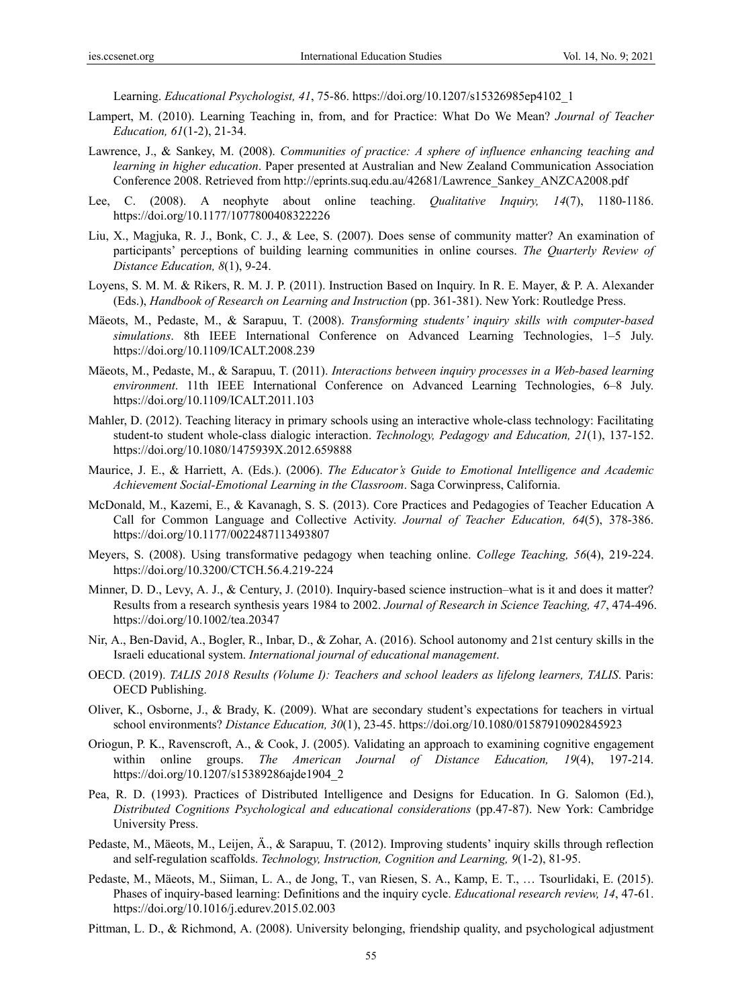Learning. *Educational Psychologist, 41*, 75-86. https://doi.org/10.1207/s15326985ep4102\_1

- Lampert, M. (2010). Learning Teaching in, from, and for Practice: What Do We Mean? *Journal of Teacher Education, 61*(1-2), 21-34.
- Lawrence, J., & Sankey, M. (2008). *Communities of practice: A sphere of influence enhancing teaching and learning in higher education*. Paper presented at Australian and New Zealand Communication Association Conference 2008. Retrieved from http://eprints.suq.edu.au/42681/Lawrence\_Sankey\_ANZCA2008.pdf
- Lee, C. (2008). A neophyte about online teaching. *Qualitative Inquiry, 14*(7), 1180-1186. https://doi.org/10.1177/1077800408322226
- Liu, X., Magjuka, R. J., Bonk, C. J., & Lee, S. (2007). Does sense of community matter? An examination of participants' perceptions of building learning communities in online courses. *The Quarterly Review of Distance Education, 8*(1), 9-24.
- Loyens, S. M. M. & Rikers, R. M. J. P. (2011). Instruction Based on Inquiry. In R. E. Mayer, & P. A. Alexander (Eds.), *Handbook of Research on Learning and Instruction* (pp. 361-381). New York: Routledge Press.
- Mäeots, M., Pedaste, M., & Sarapuu, T. (2008). *Transforming students' inquiry skills with computer-based simulations*. 8th IEEE International Conference on Advanced Learning Technologies, 1–5 July. https://doi.org/10.1109/ICALT.2008.239
- Mäeots, M., Pedaste, M., & Sarapuu, T. (2011). *Interactions between inquiry processes in a Web-based learning environment*. 11th IEEE International Conference on Advanced Learning Technologies, 6–8 July. https://doi.org/10.1109/ICALT.2011.103
- Mahler, D. (2012). Teaching literacy in primary schools using an interactive whole-class technology: Facilitating student-to student whole-class dialogic interaction. *Technology, Pedagogy and Education, 21*(1), 137-152. https://doi.org/10.1080/1475939X.2012.659888
- Maurice, J. E., & Harriett, A. (Eds.). (2006). *The Educator's Guide to Emotional Intelligence and Academic Achievement Social-Emotional Learning in the Classroom*. Saga Corwinpress, California.
- McDonald, M., Kazemi, E., & Kavanagh, S. S. (2013). Core Practices and Pedagogies of Teacher Education A Call for Common Language and Collective Activity. *Journal of Teacher Education, 64*(5), 378-386. https://doi.org/10.1177/0022487113493807
- Meyers, S. (2008). Using transformative pedagogy when teaching online. *College Teaching, 56*(4), 219-224. https://doi.org/10.3200/CTCH.56.4.219-224
- Minner, D. D., Levy, A. J., & Century, J. (2010). Inquiry-based science instruction–what is it and does it matter? Results from a research synthesis years 1984 to 2002. *Journal of Research in Science Teaching, 47*, 474-496. https://doi.org/10.1002/tea.20347
- Nir, A., Ben-David, A., Bogler, R., Inbar, D., & Zohar, A. (2016). School autonomy and 21st century skills in the Israeli educational system. *International journal of educational management*.
- OECD. (2019). *TALIS 2018 Results (Volume I): Teachers and school leaders as lifelong learners, TALIS*. Paris: OECD Publishing.
- Oliver, K., Osborne, J., & Brady, K. (2009). What are secondary student's expectations for teachers in virtual school environments? *Distance Education, 30*(1), 23-45. https://doi.org/10.1080/01587910902845923
- Oriogun, P. K., Ravenscroft, A., & Cook, J. (2005). Validating an approach to examining cognitive engagement within online groups. *The American Journal of Distance Education, 19*(4), 197-214. https://doi.org/10.1207/s15389286ajde1904\_2
- Pea, R. D. (1993). Practices of Distributed Intelligence and Designs for Education. In G. Salomon (Ed.), *Distributed Cognitions Psychological and educational considerations* (pp.47-87). New York: Cambridge University Press.
- Pedaste, M., Mäeots, M., Leijen, Ä., & Sarapuu, T. (2012). Improving students' inquiry skills through reflection and self-regulation scaffolds. *Technology, Instruction, Cognition and Learning, 9*(1-2), 81-95.
- Pedaste, M., Mäeots, M., Siiman, L. A., de Jong, T., van Riesen, S. A., Kamp, E. T., … Tsourlidaki, E. (2015). Phases of inquiry-based learning: Definitions and the inquiry cycle. *Educational research review, 14*, 47-61. https://doi.org/10.1016/j.edurev.2015.02.003
- Pittman, L. D., & Richmond, A. (2008). University belonging, friendship quality, and psychological adjustment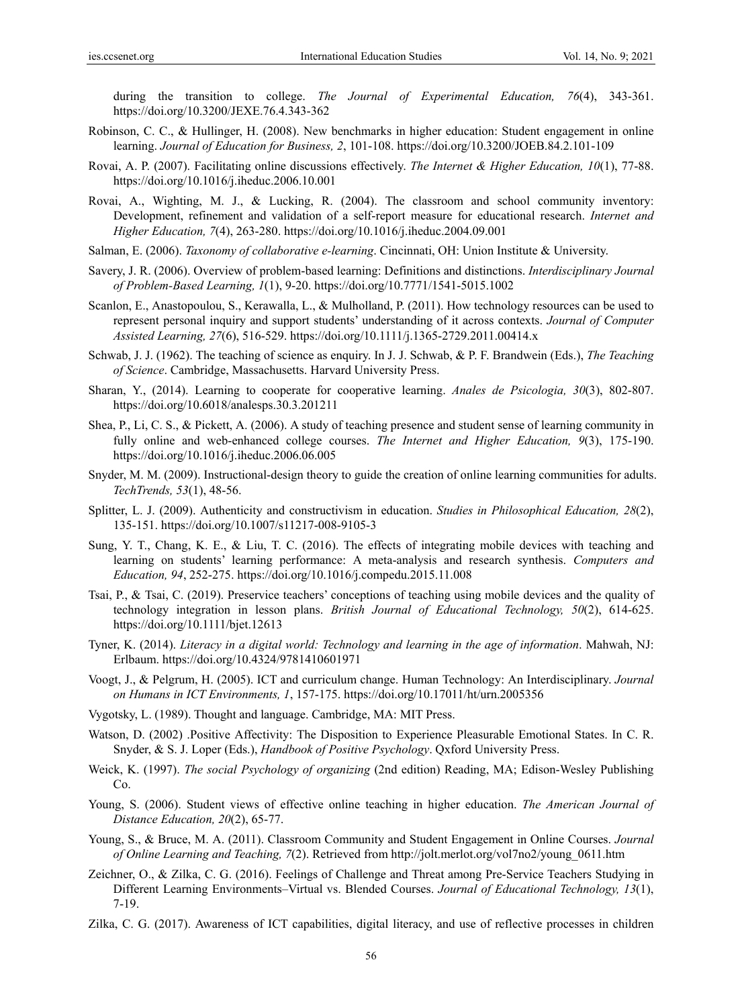during the transition to college. *The Journal of Experimental Education, 76*(4), 343-361. https://doi.org/10.3200/JEXE.76.4.343-362

- Robinson, C. C., & Hullinger, H. (2008). New benchmarks in higher education: Student engagement in online learning. *Journal of Education for Business, 2*, 101-108. https://doi.org/10.3200/JOEB.84.2.101-109
- Rovai, A. P. (2007). Facilitating online discussions effectively. *The Internet & Higher Education, 10*(1), 77-88. https://doi.org/10.1016/j.iheduc.2006.10.001
- Rovai, A., Wighting, M. J., & Lucking, R. (2004). The classroom and school community inventory: Development, refinement and validation of a self-report measure for educational research. *Internet and Higher Education, 7*(4), 263-280. https://doi.org/10.1016/j.iheduc.2004.09.001
- Salman, E. (2006). *Taxonomy of collaborative e-learning*. Cincinnati, OH: Union Institute & University.
- Savery, J. R. (2006). Overview of problem-based learning: Definitions and distinctions. *Interdisciplinary Journal of Problem-Based Learning, 1*(1), 9-20. https://doi.org/10.7771/1541-5015.1002
- Scanlon, E., Anastopoulou, S., Kerawalla, L., & Mulholland, P. (2011). How technology resources can be used to represent personal inquiry and support students' understanding of it across contexts. *Journal of Computer Assisted Learning, 27*(6), 516-529. https://doi.org/10.1111/j.1365-2729.2011.00414.x
- Schwab, J. J. (1962). The teaching of science as enquiry. In J. J. Schwab, & P. F. Brandwein (Eds.), *The Teaching of Science*. Cambridge, Massachusetts. Harvard University Press.
- Sharan, Y., (2014). Learning to cooperate for cooperative learning. *Anales de Psicologia, 30*(3), 802-807. https://doi.org/10.6018/analesps.30.3.201211
- Shea, P., Li, C. S., & Pickett, A. (2006). A study of teaching presence and student sense of learning community in fully online and web-enhanced college courses. *The Internet and Higher Education, 9*(3), 175-190. https://doi.org/10.1016/j.iheduc.2006.06.005
- Snyder, M. M. (2009). Instructional-design theory to guide the creation of online learning communities for adults. *TechTrends, 53*(1), 48-56.
- Splitter, L. J. (2009). Authenticity and constructivism in education. *Studies in Philosophical Education, 28*(2), 135-151. https://doi.org/10.1007/s11217-008-9105-3
- Sung, Y. T., Chang, K. E., & Liu, T. C. (2016). The effects of integrating mobile devices with teaching and learning on students' learning performance: A meta-analysis and research synthesis. *Computers and Education, 94*, 252-275. https://doi.org/10.1016/j.compedu.2015.11.008
- Tsai, P., & Tsai, C. (2019). Preservice teachers' conceptions of teaching using mobile devices and the quality of technology integration in lesson plans. *British Journal of Educational Technology, 50*(2), 614-625. https://doi.org/10.1111/bjet.12613
- Tyner, K. (2014). *Literacy in a digital world: Technology and learning in the age of information*. Mahwah, NJ: Erlbaum. https://doi.org/10.4324/9781410601971
- Voogt, J., & Pelgrum, H. (2005). ICT and curriculum change. Human Technology: An Interdisciplinary. *Journal on Humans in ICT Environments, 1*, 157-175. https://doi.org/10.17011/ht/urn.2005356
- Vygotsky, L. (1989). Thought and language. Cambridge, MA: MIT Press.
- Watson, D. (2002) .Positive Affectivity: The Disposition to Experience Pleasurable Emotional States. In C. R. Snyder, & S. J. Loper (Eds.), *Handbook of Positive Psychology*. Qxford University Press.
- Weick, K. (1997). *The social Psychology of organizing* (2nd edition) Reading, MA; Edison-Wesley Publishing Co.
- Young, S. (2006). Student views of effective online teaching in higher education. *The American Journal of Distance Education, 20*(2), 65-77.
- Young, S., & Bruce, M. A. (2011). Classroom Community and Student Engagement in Online Courses. *Journal of Online Learning and Teaching, 7*(2). Retrieved from http://jolt.merlot.org/vol7no2/young\_0611.htm
- Zeichner, O., & Zilka, C. G. (2016). Feelings of Challenge and Threat among Pre-Service Teachers Studying in Different Learning Environments–Virtual vs. Blended Courses. *Journal of Educational Technology, 13*(1), 7-19.
- Zilka, C. G. (2017). Awareness of ICT capabilities, digital literacy, and use of reflective processes in children